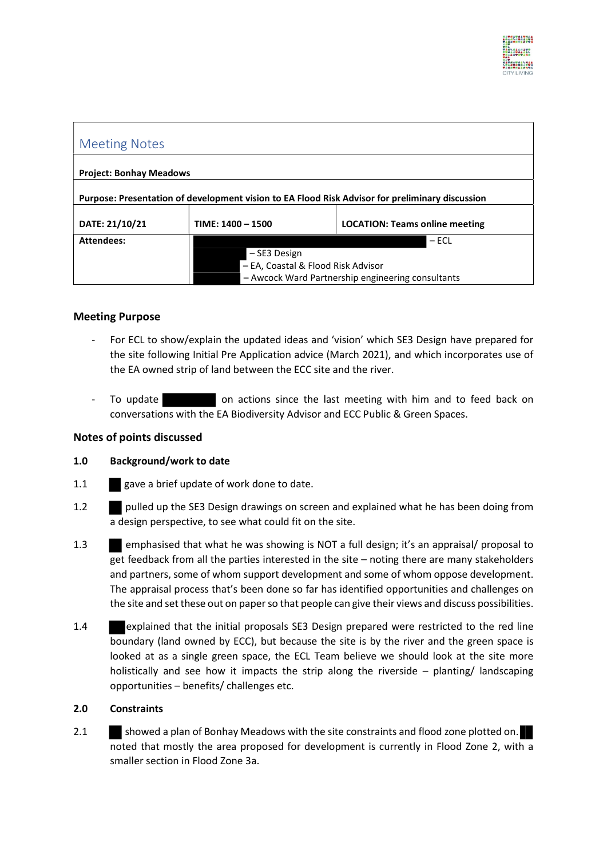

| <b>Meeting Notes</b>                                                                            |                                                                                         |                                       |
|-------------------------------------------------------------------------------------------------|-----------------------------------------------------------------------------------------|---------------------------------------|
| <b>Project: Bonhay Meadows</b>                                                                  |                                                                                         |                                       |
| Purpose: Presentation of development vision to EA Flood Risk Advisor for preliminary discussion |                                                                                         |                                       |
| DATE: 21/10/21                                                                                  | $TIME: 1400 - 1500$                                                                     | <b>LOCATION: Teams online meeting</b> |
| <b>Attendees:</b>                                                                               |                                                                                         | $-$ ECL                               |
|                                                                                                 | – SE3 Design                                                                            |                                       |
|                                                                                                 | - EA, Coastal & Flood Risk Advisor<br>- Awcock Ward Partnership engineering consultants |                                       |
|                                                                                                 |                                                                                         |                                       |

## Meeting Purpose

- For ECL to show/explain the updated ideas and 'vision' which SE3 Design have prepared for the site following Initial Pre Application advice (March 2021), and which incorporates use of the EA owned strip of land between the ECC site and the river.
- To update **on actions since the last meeting with him and to feed back on** conversations with the EA Biodiversity Advisor and ECC Public & Green Spaces.

#### Notes of points discussed

#### 1.0 Background/work to date

- 1.1 gave a brief update of work done to date.
- 1.2 pulled up the SE3 Design drawings on screen and explained what he has been doing from a design perspective, to see what could fit on the site.
- 1.3 emphasised that what he was showing is NOT a full design; it's an appraisal/ proposal to get feedback from all the parties interested in the site – noting there are many stakeholders and partners, some of whom support development and some of whom oppose development. The appraisal process that's been done so far has identified opportunities and challenges on the site and set these out on paper so that people can give their views and discuss possibilities.
- 1.4 explained that the initial proposals SE3 Design prepared were restricted to the red line boundary (land owned by ECC), but because the site is by the river and the green space is looked at as a single green space, the ECL Team believe we should look at the site more holistically and see how it impacts the strip along the riverside  $-$  planting/ landscaping opportunities – benefits/ challenges etc.

#### 2.0 Constraints

2.1 showed a plan of Bonhay Meadows with the site constraints and flood zone plotted on. noted that mostly the area proposed for development is currently in Flood Zone 2, with a smaller section in Flood Zone 3a.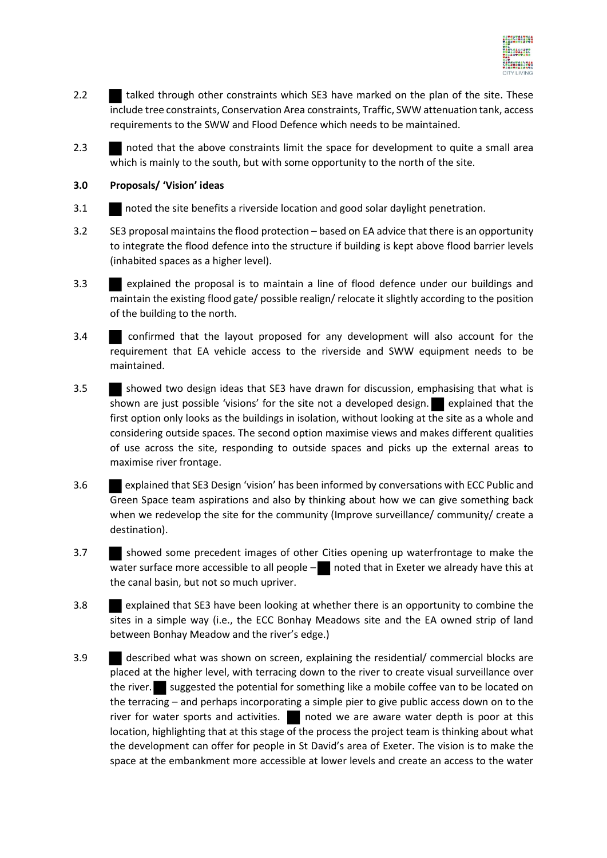

- 2.2 talked through other constraints which SE3 have marked on the plan of the site. These include tree constraints, Conservation Area constraints, Traffic, SWW attenuation tank, access requirements to the SWW and Flood Defence which needs to be maintained.
- 2.3 noted that the above constraints limit the space for development to quite a small area which is mainly to the south, but with some opportunity to the north of the site.

## 3.0 Proposals/ 'Vision' ideas

- 3.1 noted the site benefits a riverside location and good solar daylight penetration.
- 3.2 SE3 proposal maintains the flood protection based on EA advice that there is an opportunity to integrate the flood defence into the structure if building is kept above flood barrier levels (inhabited spaces as a higher level).
- 3.3 explained the proposal is to maintain a line of flood defence under our buildings and maintain the existing flood gate/ possible realign/ relocate it slightly according to the position of the building to the north.
- 3.4 confirmed that the layout proposed for any development will also account for the requirement that EA vehicle access to the riverside and SWW equipment needs to be maintained.
- 3.5 showed two design ideas that SE3 have drawn for discussion, emphasising that what is shown are just possible 'visions' for the site not a developed design. explained that the first option only looks as the buildings in isolation, without looking at the site as a whole and considering outside spaces. The second option maximise views and makes different qualities of use across the site, responding to outside spaces and picks up the external areas to maximise river frontage.
- 3.6 explained that SE3 Design 'vision' has been informed by conversations with ECC Public and Green Space team aspirations and also by thinking about how we can give something back when we redevelop the site for the community (Improve surveillance/ community/ create a destination).
- 3.7 showed some precedent images of other Cities opening up waterfrontage to make the water surface more accessible to all people  $-\blacksquare$  noted that in Exeter we already have this at the canal basin, but not so much upriver.
- 3.8 explained that SE3 have been looking at whether there is an opportunity to combine the sites in a simple way (i.e., the ECC Bonhay Meadows site and the EA owned strip of land between Bonhay Meadow and the river's edge.)
- 3.9 described what was shown on screen, explaining the residential/ commercial blocks are placed at the higher level, with terracing down to the river to create visual surveillance over the river. suggested the potential for something like a mobile coffee van to be located on the terracing – and perhaps incorporating a simple pier to give public access down on to the river for water sports and activities. Inoted we are aware water depth is poor at this location, highlighting that at this stage of the process the project team is thinking about what the development can offer for people in St David's area of Exeter. The vision is to make the space at the embankment more accessible at lower levels and create an access to the water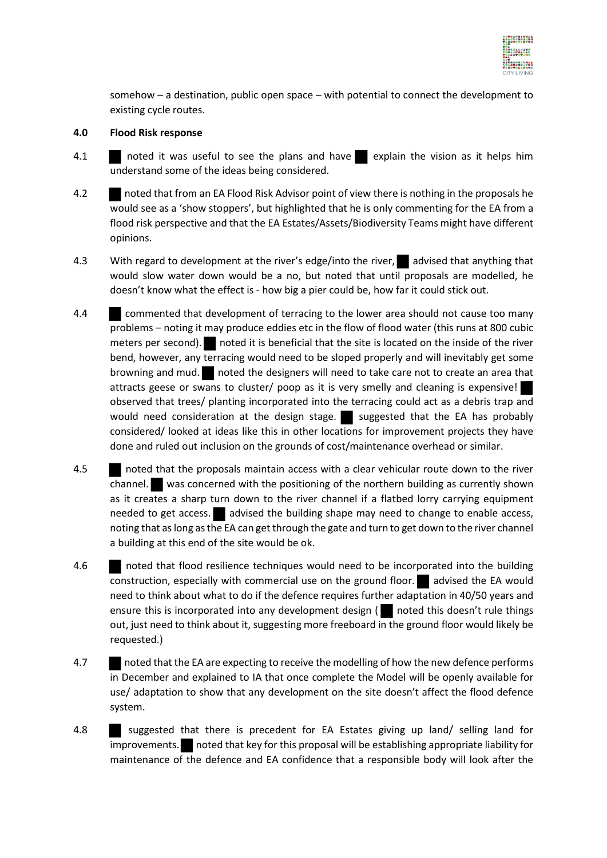

somehow – a destination, public open space – with potential to connect the development to existing cycle routes.

### 4.0 Flood Risk response

- 4.1 noted it was useful to see the plans and have explain the vision as it helps him understand some of the ideas being considered.
- 4.2 noted that from an EA Flood Risk Advisor point of view there is nothing in the proposals he would see as a 'show stoppers', but highlighted that he is only commenting for the EA from a flood risk perspective and that the EA Estates/Assets/Biodiversity Teams might have different opinions.
- 4.3 With regard to development at the river's edge/into the river, advised that anything that would slow water down would be a no, but noted that until proposals are modelled, he doesn't know what the effect is - how big a pier could be, how far it could stick out.
- 4.4 commented that development of terracing to the lower area should not cause too many problems – noting it may produce eddies etc in the flow of flood water (this runs at 800 cubic meters per second). noted it is beneficial that the site is located on the inside of the river bend, however, any terracing would need to be sloped properly and will inevitably get some browning and mud. noted the designers will need to take care not to create an area that attracts geese or swans to cluster/ poop as it is very smelly and cleaning is expensive! observed that trees/ planting incorporated into the terracing could act as a debris trap and would need consideration at the design stage. Suggested that the EA has probably considered/ looked at ideas like this in other locations for improvement projects they have done and ruled out inclusion on the grounds of cost/maintenance overhead or similar.
- 4.5 noted that the proposals maintain access with a clear vehicular route down to the river channel. was concerned with the positioning of the northern building as currently shown as it creates a sharp turn down to the river channel if a flatbed lorry carrying equipment needed to get access. advised the building shape may need to change to enable access, noting that as long as the EA can get through the gate and turn to get down to the river channel a building at this end of the site would be ok.
- 4.6 noted that flood resilience techniques would need to be incorporated into the building construction, especially with commercial use on the ground floor. **a** advised the EA would need to think about what to do if the defence requires further adaptation in 40/50 years and ensure this is incorporated into any development design ( $\Box$  noted this doesn't rule things out, just need to think about it, suggesting more freeboard in the ground floor would likely be requested.)
- 4.7 noted that the EA are expecting to receive the modelling of how the new defence performs in December and explained to IA that once complete the Model will be openly available for use/ adaptation to show that any development on the site doesn't affect the flood defence system.
- 4.8 suggested that there is precedent for EA Estates giving up land/ selling land for improvements. noted that key for this proposal will be establishing appropriate liability for maintenance of the defence and EA confidence that a responsible body will look after the